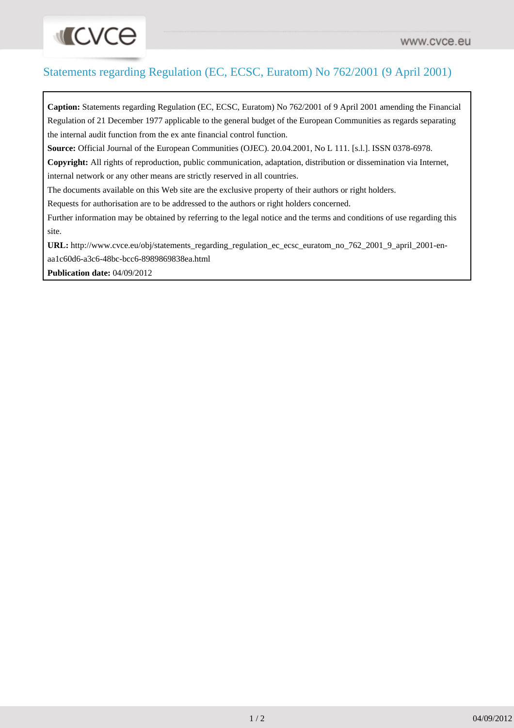## Statements regarding Regulation (EC, ECSC, Euratom) No 762/2001 (9 April 2001)

**Caption:** Statements regarding Regulation (EC, ECSC, Euratom) No 762/2001 of 9 April 2001 amending the Financial Regulation of 21 December 1977 applicable to the general budget of the European Communities as regards separating the internal audit function from the ex ante financial control function. **Source:** Official Journal of the European Communities (OJEC). 20.04.2001, No L 111. [s.l.]. ISSN 0378-6978. **Copyright:** All rights of reproduction, public communication, adaptation, distribution or dissemination via Internet, internal network or any other means are strictly reserved in all countries. The documents available on this Web site are the exclusive property of their authors or right holders. Requests for authorisation are to be addressed to the authors or right holders concerned. Further information may be obtained by referring to the legal notice and the terms and conditions of use regarding this site. **URL:** [http://www.cvce.eu/obj/statements\\_regarding\\_regulation\\_ec\\_ecsc\\_euratom\\_no\\_762\\_2001\\_9\\_april\\_2001-en](http://www.cvce.eu/obj/statements_regarding_regulation_ec_ecsc_euratom_no_762_2001_9_april_2001-en-aa1c60d6-a3c6-48bc-bcc6-8989869838ea.html)[aa1c60d6-a3c6-48bc-bcc6-8989869838ea.html](http://www.cvce.eu/obj/statements_regarding_regulation_ec_ecsc_euratom_no_762_2001_9_april_2001-en-aa1c60d6-a3c6-48bc-bcc6-8989869838ea.html)

**Publication date:** 04/09/2012

**INCVCO**